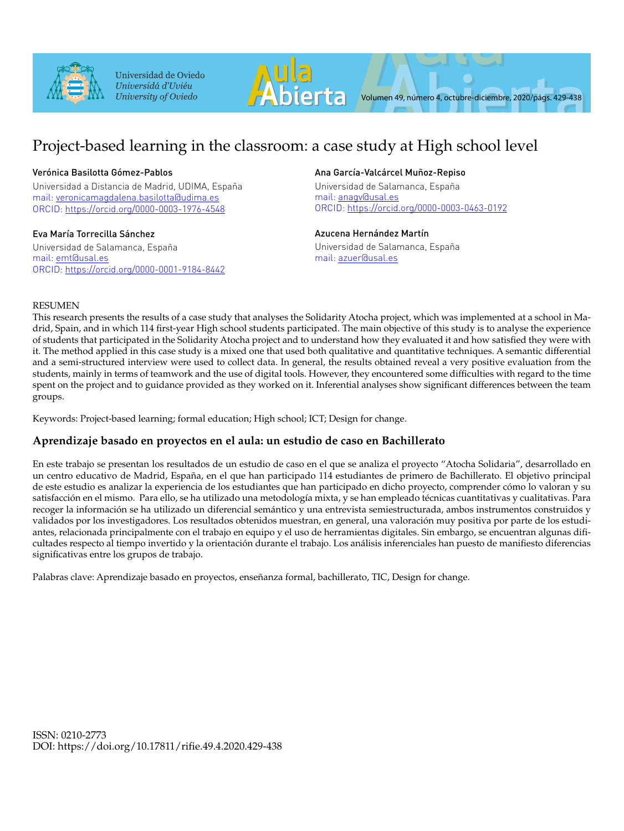

Universidad de Oviedo Universidá d'Uviéu University of Oviedo



# Project-based learning in the classroom: a case study at High school level

# Verónica Basilotta Gómez-Pablos

Universidad a Distancia de Madrid, UDIMA, España mail: veronicamagdalena.basilotta@udima.es ORCID: https://orcid.org/0000-0003-1976-4548

# Eva María Torrecilla Sánchez

Universidad de Salamanca, España mail: emt@usal.es ORCID: https://orcid.org/0000-0001-9184-8442

# Ana García-Valcárcel Muñoz-Repiso

Universidad de Salamanca, España mail: anagv@usal.es ORCID: https://orcid.org/0000-0003-0463-0192

# Azucena Hernández Martín

Universidad de Salamanca, España mail: azuer@usal.es

# RESUMEN

This research presents the results of a case study that analyses the Solidarity Atocha project, which was implemented at a school in Madrid, Spain, and in which 114 first-year High school students participated. The main objective of this study is to analyse the experience of students that participated in the Solidarity Atocha project and to understand how they evaluated it and how satisfied they were with it. The method applied in this case study is a mixed one that used both qualitative and quantitative techniques. A semantic differential and a semi-structured interview were used to collect data. In general, the results obtained reveal a very positive evaluation from the students, mainly in terms of teamwork and the use of digital tools. However, they encountered some difficulties with regard to the time spent on the project and to guidance provided as they worked on it. Inferential analyses show significant differences between the team groups.

Keywords: Project-based learning; formal education; High school; ICT; Design for change.

# **Aprendizaje basado en proyectos en el aula: un estudio de caso en Bachillerato**

En este trabajo se presentan los resultados de un estudio de caso en el que se analiza el proyecto "Atocha Solidaria", desarrollado en un centro educativo de Madrid, España, en el que han participado 114 estudiantes de primero de Bachillerato. El objetivo principal de este estudio es analizar la experiencia de los estudiantes que han participado en dicho proyecto, comprender cómo lo valoran y su satisfacción en el mismo. Para ello, se ha utilizado una metodología mixta, y se han empleado técnicas cuantitativas y cualitativas. Para recoger la información se ha utilizado un diferencial semántico y una entrevista semiestructurada, ambos instrumentos construidos y validados por los investigadores. Los resultados obtenidos muestran, en general, una valoración muy positiva por parte de los estudiantes, relacionada principalmente con el trabajo en equipo y el uso de herramientas digitales. Sin embargo, se encuentran algunas dificultades respecto al tiempo invertido y la orientación durante el trabajo. Los análisis inferenciales han puesto de manifiesto diferencias significativas entre los grupos de trabajo.

Palabras clave: Aprendizaje basado en proyectos, enseñanza formal, bachillerato, TIC, Design for change.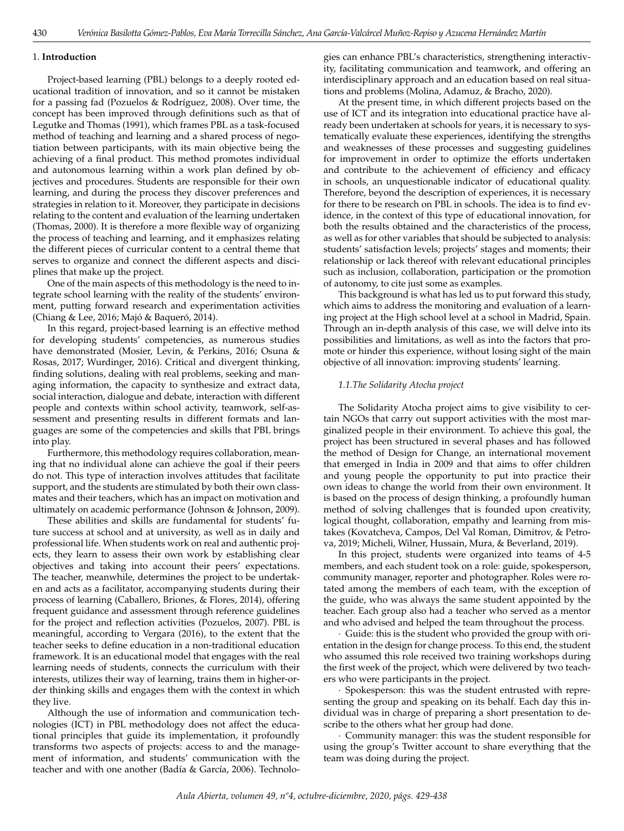#### 1. **Introduction**

430

Project-based learning (PBL) belongs to a deeply rooted educational tradition of innovation, and so it cannot be mistaken for a passing fad (Pozuelos & Rodríguez, 2008). Over time, the concept has been improved through definitions such as that of Legutke and Thomas (1991), which frames PBL as a task-focused method of teaching and learning and a shared process of negotiation between participants, with its main objective being the achieving of a final product. This method promotes individual and autonomous learning within a work plan defined by objectives and procedures. Students are responsible for their own learning, and during the process they discover preferences and strategies in relation to it. Moreover, they participate in decisions relating to the content and evaluation of the learning undertaken (Thomas, 2000). It is therefore a more flexible way of organizing the process of teaching and learning, and it emphasizes relating the different pieces of curricular content to a central theme that serves to organize and connect the different aspects and disciplines that make up the project.

One of the main aspects of this methodology is the need to integrate school learning with the reality of the students' environment, putting forward research and experimentation activities (Chiang & Lee, 2016; Majó & Baqueró, 2014).

In this regard, project-based learning is an effective method for developing students' competencies, as numerous studies have demonstrated (Mosier, Levin, & Perkins, 2016; Osuna & Rosas, 2017; Wurdinger, 2016). Critical and divergent thinking, finding solutions, dealing with real problems, seeking and managing information, the capacity to synthesize and extract data, social interaction, dialogue and debate, interaction with different people and contexts within school activity, teamwork, self-assessment and presenting results in different formats and languages are some of the competencies and skills that PBL brings into play.

Furthermore, this methodology requires collaboration, meaning that no individual alone can achieve the goal if their peers do not. This type of interaction involves attitudes that facilitate support, and the students are stimulated by both their own classmates and their teachers, which has an impact on motivation and ultimately on academic performance (Johnson & Johnson, 2009).

These abilities and skills are fundamental for students' future success at school and at university, as well as in daily and professional life. When students work on real and authentic projects, they learn to assess their own work by establishing clear objectives and taking into account their peers' expectations. The teacher, meanwhile, determines the project to be undertaken and acts as a facilitator, accompanying students during their process of learning (Caballero, Briones, & Flores, 2014), offering frequent guidance and assessment through reference guidelines for the project and reflection activities (Pozuelos, 2007). PBL is meaningful, according to Vergara (2016), to the extent that the teacher seeks to define education in a non-traditional education framework. It is an educational model that engages with the real learning needs of students, connects the curriculum with their interests, utilizes their way of learning, trains them in higher-order thinking skills and engages them with the context in which they live.

Although the use of information and communication technologies (ICT) in PBL methodology does not affect the educational principles that guide its implementation, it profoundly transforms two aspects of projects: access to and the management of information, and students' communication with the teacher and with one another (Badía & García, 2006). Technologies can enhance PBL's characteristics, strengthening interactivity, facilitating communication and teamwork, and offering an interdisciplinary approach and an education based on real situations and problems (Molina, Adamuz, & Bracho, 2020).

At the present time, in which different projects based on the use of ICT and its integration into educational practice have already been undertaken at schools for years, it is necessary to systematically evaluate these experiences, identifying the strengths and weaknesses of these processes and suggesting guidelines for improvement in order to optimize the efforts undertaken and contribute to the achievement of efficiency and efficacy in schools, an unquestionable indicator of educational quality. Therefore, beyond the description of experiences, it is necessary for there to be research on PBL in schools. The idea is to find evidence, in the context of this type of educational innovation, for both the results obtained and the characteristics of the process, as well as for other variables that should be subjected to analysis: students' satisfaction levels; projects' stages and moments; their relationship or lack thereof with relevant educational principles such as inclusion, collaboration, participation or the promotion of autonomy, to cite just some as examples.

This background is what has led us to put forward this study, which aims to address the monitoring and evaluation of a learning project at the High school level at a school in Madrid, Spain. Through an in-depth analysis of this case, we will delve into its possibilities and limitations, as well as into the factors that promote or hinder this experience, without losing sight of the main objective of all innovation: improving students' learning.

### *1.1.The Solidarity Atocha project*

The Solidarity Atocha project aims to give visibility to certain NGOs that carry out support activities with the most marginalized people in their environment. To achieve this goal, the project has been structured in several phases and has followed the method of Design for Change, an international movement that emerged in India in 2009 and that aims to offer children and young people the opportunity to put into practice their own ideas to change the world from their own environment. It is based on the process of design thinking, a profoundly human method of solving challenges that is founded upon creativity, logical thought, collaboration, empathy and learning from mistakes (Kovatcheva, Campos, Del Val Roman, Dimitrov, & Petrova, 2019; Micheli, Wilner, Hussain, Mura, & Beverland, 2019).

In this project, students were organized into teams of 4-5 members, and each student took on a role: guide, spokesperson, community manager, reporter and photographer. Roles were rotated among the members of each team, with the exception of the guide, who was always the same student appointed by the teacher. Each group also had a teacher who served as a mentor and who advised and helped the team throughout the process.

· Guide: this is the student who provided the group with orientation in the design for change process. To this end, the student who assumed this role received two training workshops during the first week of the project, which were delivered by two teachers who were participants in the project.

· Spokesperson: this was the student entrusted with representing the group and speaking on its behalf. Each day this individual was in charge of preparing a short presentation to describe to the others what her group had done.

· Community manager: this was the student responsible for using the group's Twitter account to share everything that the team was doing during the project.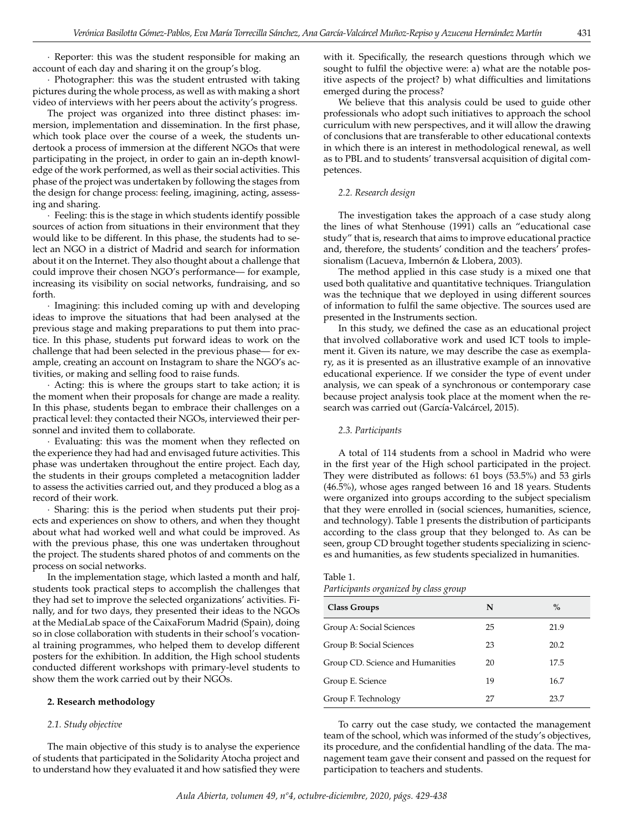· Reporter: this was the student responsible for making an account of each day and sharing it on the group's blog.

· Photographer: this was the student entrusted with taking pictures during the whole process, as well as with making a short video of interviews with her peers about the activity's progress.

The project was organized into three distinct phases: immersion, implementation and dissemination. In the first phase, which took place over the course of a week, the students undertook a process of immersion at the different NGOs that were participating in the project, in order to gain an in-depth knowledge of the work performed, as well as their social activities. This phase of the project was undertaken by following the stages from the design for change process: feeling, imagining, acting, assessing and sharing.

· Feeling: this is the stage in which students identify possible sources of action from situations in their environment that they would like to be different. In this phase, the students had to select an NGO in a district of Madrid and search for information about it on the Internet. They also thought about a challenge that could improve their chosen NGO's performance— for example, increasing its visibility on social networks, fundraising, and so forth.

· Imagining: this included coming up with and developing ideas to improve the situations that had been analysed at the previous stage and making preparations to put them into practice. In this phase, students put forward ideas to work on the challenge that had been selected in the previous phase— for example, creating an account on Instagram to share the NGO's activities, or making and selling food to raise funds.

· Acting: this is where the groups start to take action; it is the moment when their proposals for change are made a reality. In this phase, students began to embrace their challenges on a practical level: they contacted their NGOs, interviewed their personnel and invited them to collaborate.

· Evaluating: this was the moment when they reflected on the experience they had had and envisaged future activities. This phase was undertaken throughout the entire project. Each day, the students in their groups completed a metacognition ladder to assess the activities carried out, and they produced a blog as a record of their work.

· Sharing: this is the period when students put their projects and experiences on show to others, and when they thought about what had worked well and what could be improved. As with the previous phase, this one was undertaken throughout the project. The students shared photos of and comments on the process on social networks.

In the implementation stage, which lasted a month and half, students took practical steps to accomplish the challenges that they had set to improve the selected organizations' activities. Finally, and for two days, they presented their ideas to the NGOs at the MediaLab space of the CaixaForum Madrid (Spain), doing so in close collaboration with students in their school's vocational training programmes, who helped them to develop different posters for the exhibition. In addition, the High school students conducted different workshops with primary-level students to show them the work carried out by their NGOs.

## **2. Research methodology**

### *2.1. Study objective*

The main objective of this study is to analyse the experience of students that participated in the Solidarity Atocha project and to understand how they evaluated it and how satisfied they were with it. Specifically, the research questions through which we sought to fulfil the objective were: a) what are the notable positive aspects of the project? b) what difficulties and limitations emerged during the process?

We believe that this analysis could be used to guide other professionals who adopt such initiatives to approach the school curriculum with new perspectives, and it will allow the drawing of conclusions that are transferable to other educational contexts in which there is an interest in methodological renewal, as well as to PBL and to students' transversal acquisition of digital competences.

#### *2.2. Research design*

The investigation takes the approach of a case study along the lines of what Stenhouse (1991) calls an "educational case study" that is, research that aims to improve educational practice and, therefore, the students' condition and the teachers' professionalism (Lacueva, Imbernón & Llobera, 2003).

The method applied in this case study is a mixed one that used both qualitative and quantitative techniques. Triangulation was the technique that we deployed in using different sources of information to fulfil the same objective. The sources used are presented in the Instruments section.

In this study, we defined the case as an educational project that involved collaborative work and used ICT tools to implement it. Given its nature, we may describe the case as exemplary, as it is presented as an illustrative example of an innovative educational experience. If we consider the type of event under analysis, we can speak of a synchronous or contemporary case because project analysis took place at the moment when the research was carried out (García-Valcárcel, 2015).

#### *2.3. Participants*

A total of 114 students from a school in Madrid who were in the first year of the High school participated in the project. They were distributed as follows: 61 boys (53.5%) and 53 girls (46.5%), whose ages ranged between 16 and 18 years. Students were organized into groups according to the subject specialism that they were enrolled in (social sciences, humanities, science, and technology). Table 1 presents the distribution of participants according to the class group that they belonged to. As can be seen, group CD brought together students specializing in sciences and humanities, as few students specialized in humanities.

#### Table 1.

*Participants organized by class group*

| <b>Class Groups</b>              | N  | $\%$ |
|----------------------------------|----|------|
| Group A: Social Sciences         | 25 | 21.9 |
| Group B: Social Sciences         | 23 | 20.2 |
| Group CD. Science and Humanities | 20 | 17.5 |
| Group E. Science                 | 19 | 16.7 |
| Group F. Technology              | 27 | 23.7 |

To carry out the case study, we contacted the management team of the school, which was informed of the study's objectives, its procedure, and the confidential handling of the data. The management team gave their consent and passed on the request for participation to teachers and students.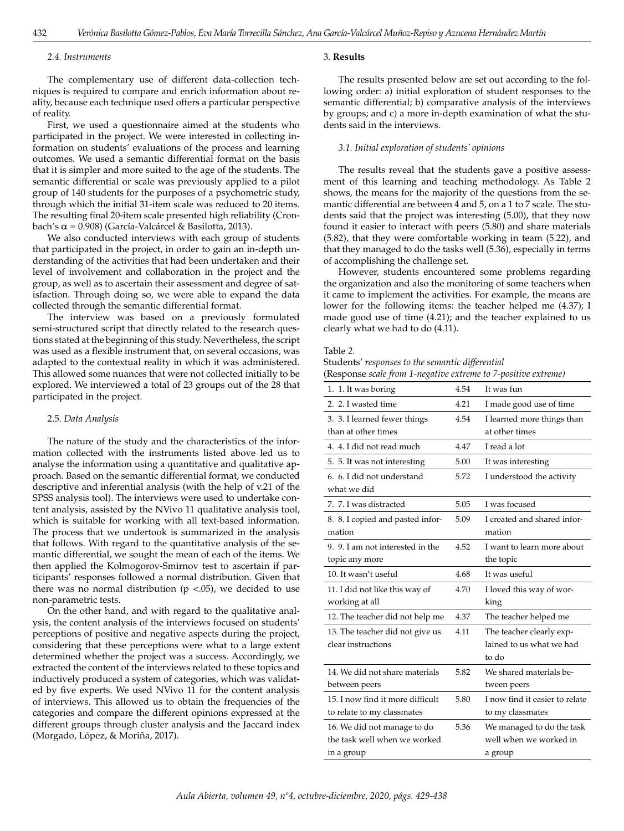#### *2.4. Instruments*

The complementary use of different data-collection techniques is required to compare and enrich information about reality, because each technique used offers a particular perspective of reality.

First, we used a questionnaire aimed at the students who participated in the project. We were interested in collecting information on students' evaluations of the process and learning outcomes. We used a semantic differential format on the basis that it is simpler and more suited to the age of the students. The semantic differential or scale was previously applied to a pilot group of 140 students for the purposes of a psychometric study, through which the initial 31-item scale was reduced to 20 items. The resulting final 20-item scale presented high reliability (Cronbach's α = 0.908) (García-Valcárcel & Basilotta, 2013).

We also conducted interviews with each group of students that participated in the project, in order to gain an in-depth understanding of the activities that had been undertaken and their level of involvement and collaboration in the project and the group, as well as to ascertain their assessment and degree of satisfaction. Through doing so, we were able to expand the data collected through the semantic differential format.

The interview was based on a previously formulated semi-structured script that directly related to the research questions stated at the beginning of this study. Nevertheless, the script was used as a flexible instrument that, on several occasions, was adapted to the contextual reality in which it was administered. This allowed some nuances that were not collected initially to be explored. We interviewed a total of 23 groups out of the 28 that participated in the project.

#### 2.5. *Data Analysis*

The nature of the study and the characteristics of the information collected with the instruments listed above led us to analyse the information using a quantitative and qualitative approach. Based on the semantic differential format, we conducted descriptive and inferential analysis (with the help of v.21 of the SPSS analysis tool). The interviews were used to undertake content analysis, assisted by the NVivo 11 qualitative analysis tool, which is suitable for working with all text-based information. The process that we undertook is summarized in the analysis that follows. With regard to the quantitative analysis of the semantic differential, we sought the mean of each of the items. We then applied the Kolmogorov-Smirnov test to ascertain if participants' responses followed a normal distribution. Given that there was no normal distribution ( $p < .05$ ), we decided to use non-parametric tests.

On the other hand, and with regard to the qualitative analysis, the content analysis of the interviews focused on students' perceptions of positive and negative aspects during the project, considering that these perceptions were what to a large extent determined whether the project was a success. Accordingly, we extracted the content of the interviews related to these topics and inductively produced a system of categories, which was validated by five experts. We used NVivo 11 for the content analysis of interviews. This allowed us to obtain the frequencies of the categories and compare the different opinions expressed at the different groups through cluster analysis and the Jaccard index (Morgado, López, & Moriña, 2017).

#### 3. **Results**

The results presented below are set out according to the following order: a) initial exploration of student responses to the semantic differential; b) comparative analysis of the interviews by groups; and c) a more in-depth examination of what the students said in the interviews.

# *3.1. Initial exploration of students' opinions*

The results reveal that the students gave a positive assessment of this learning and teaching methodology. As Table 2 shows, the means for the majority of the questions from the semantic differential are between 4 and 5, on a 1 to 7 scale. The students said that the project was interesting (5.00), that they now found it easier to interact with peers (5.80) and share materials (5.82), that they were comfortable working in team (5.22), and that they managed to do the tasks well (5.36), especially in terms of accomplishing the challenge set.

However, students encountered some problems regarding the organization and also the monitoring of some teachers when it came to implement the activities. For example, the means are lower for the following items: the teacher helped me (4.37); I made good use of time (4.21); and the teacher explained to us clearly what we had to do (4.11).

#### Table *2.*

Students' *responses to the semantic differential*  (Response *scale from 1-negative extreme to 7-positive extreme)*

| 1. 1. It was boring              | 4.54 | It was fun                     |
|----------------------------------|------|--------------------------------|
| 2. 2. I wasted time              | 4.21 | I made good use of time        |
| 3. 3. I learned fewer things     | 4.54 | I learned more things than     |
| than at other times              |      | at other times                 |
| 4. 4. I did not read much        | 4.47 | I read a lot                   |
| 5. 5. It was not interesting     | 5.00 | It was interesting             |
| 6. 6. I did not understand       | 5.72 | I understood the activity      |
| what we did                      |      |                                |
| 7. 7. I was distracted           | 5.05 | I was focused                  |
| 8. 8. I copied and pasted infor- | 5.09 | I created and shared infor-    |
| mation                           |      | mation                         |
| 9. 9. I am not interested in the | 4.52 | I want to learn more about     |
| topic any more                   |      | the topic                      |
| 10. It wasn't useful             | 4.68 | It was useful                  |
| 11. I did not like this way of   | 4.70 | I loved this way of wor-       |
| working at all                   |      | king                           |
| 12. The teacher did not help me  | 4.37 | The teacher helped me          |
| 13. The teacher did not give us  | 4.11 | The teacher clearly exp-       |
| clear instructions               |      | lained to us what we had       |
|                                  |      | to do                          |
| 14. We did not share materials   | 5.82 | We shared materials be-        |
| between peers                    |      | tween peers                    |
| 15. I now find it more difficult | 5.80 | I now find it easier to relate |
| to relate to my classmates       |      | to my classmates               |
| 16. We did not manage to do      | 5.36 | We managed to do the task      |
| the task well when we worked     |      | well when we worked in         |
| in a group                       |      | a group                        |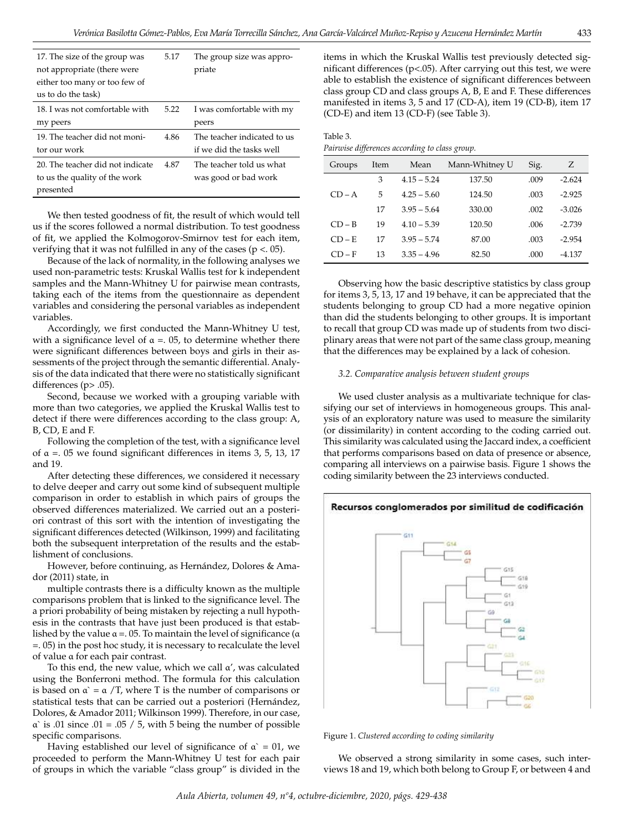| 17. The size of the group was    | 5.17 | The group size was appro-   |
|----------------------------------|------|-----------------------------|
| not appropriate (there were      |      | priate                      |
| either too many or too few of    |      |                             |
| us to do the task)               |      |                             |
| 18. I was not comfortable with   | 5.22 | I was comfortable with my   |
| my peers                         |      | peers                       |
| 19. The teacher did not moni-    | 4.86 | The teacher indicated to us |
| tor our work                     |      | if we did the tasks well    |
| 20. The teacher did not indicate | 4.87 | The teacher told us what    |
| to us the quality of the work    |      | was good or bad work        |
| presented                        |      |                             |

We then tested goodness of fit, the result of which would tell us if the scores followed a normal distribution. To test goodness of fit, we applied the Kolmogorov-Smirnov test for each item, verifying that it was not fulfilled in any of the cases ( $p < 0.05$ ).

Because of the lack of normality, in the following analyses we used non-parametric tests: Kruskal Wallis test for k independent samples and the Mann-Whitney U for pairwise mean contrasts, taking each of the items from the questionnaire as dependent variables and considering the personal variables as independent variables.

Accordingly, we first conducted the Mann-Whitney U test, with a significance level of  $\alpha = 0.05$ , to determine whether there were significant differences between boys and girls in their assessments of the project through the semantic differential. Analysis of the data indicated that there were no statistically significant differences (p> .05).

Second, because we worked with a grouping variable with more than two categories, we applied the Kruskal Wallis test to detect if there were differences according to the class group: A, B, CD, E and F.

Following the completion of the test, with a significance level of  $\alpha$  =. 05 we found significant differences in items 3, 5, 13, 17 and 19.

After detecting these differences, we considered it necessary to delve deeper and carry out some kind of subsequent multiple comparison in order to establish in which pairs of groups the observed differences materialized. We carried out an a posteriori contrast of this sort with the intention of investigating the significant differences detected (Wilkinson, 1999) and facilitating both the subsequent interpretation of the results and the establishment of conclusions.

However, before continuing, as Hernández, Dolores & Amador (2011) state, in

multiple contrasts there is a difficulty known as the multiple comparisons problem that is linked to the significance level. The a priori probability of being mistaken by rejecting a null hypothesis in the contrasts that have just been produced is that established by the value  $\alpha = 0.05$ . To maintain the level of significance ( $\alpha$ =. 05) in the post hoc study, it is necessary to recalculate the level of value α for each pair contrast.

To this end, the new value, which we call α', was calculated using the Bonferroni method. The formula for this calculation is based on  $\alpha$  =  $\alpha$  /T, where T is the number of comparisons or statistical tests that can be carried out a posteriori (Hernández, Dolores, & Amador 2011; Wilkinson 1999). Therefore, in our case,  $\alpha$  is .01 since .01 = .05 / 5, with 5 being the number of possible specific comparisons.

Having established our level of significance of  $\alpha$  = 01, we proceeded to perform the Mann-Whitney U test for each pair of groups in which the variable "class group" is divided in the items in which the Kruskal Wallis test previously detected significant differences ( $p$ <.05). After carrying out this test, we were able to establish the existence of significant differences between class group CD and class groups A, B, E and F. These differences manifested in items 3, 5 and 17 (CD-A), item 19 (CD-B), item 17 (CD-E) and item 13 (CD-F) (see Table 3).

Table 3. *Pairwise differences according to class group.*

| Groups   | Item | Mean          | Mann-Whitney U | Sig. | Ζ        |
|----------|------|---------------|----------------|------|----------|
|          | 3    | $4.15 - 5.24$ | 137.50         | .009 | $-2.624$ |
| $CD - A$ | 5    | $4.25 - 5.60$ | 124.50         | .003 | $-2.925$ |
|          | 17   | $3.95 - 5.64$ | 330.00         | .002 | $-3.026$ |
| $CD - B$ | 19   | $4.10 - 5.39$ | 120.50         | .006 | $-2.739$ |
| $CD - E$ | 17   | $3.95 - 5.74$ | 87.00          | .003 | $-2.954$ |
| $CD-F$   | 13   | $3.35 - 4.96$ | 82.50          | .000 | $-4.137$ |

Observing how the basic descriptive statistics by class group for items 3, 5, 13, 17 and 19 behave, it can be appreciated that the students belonging to group CD had a more negative opinion than did the students belonging to other groups. It is important to recall that group CD was made up of students from two disciplinary areas that were not part of the same class group, meaning that the differences may be explained by a lack of cohesion.

### *3.2. Comparative analysis between student groups*

We used cluster analysis as a multivariate technique for classifying our set of interviews in homogeneous groups. This analysis of an exploratory nature was used to measure the similarity (or dissimilarity) in content according to the coding carried out. This similarity was calculated using the Jaccard index, a coefficient that performs comparisons based on data of presence or absence, comparing all interviews on a pairwise basis. Figure 1 shows the coding similarity between the 23 interviews conducted.





Figure 1. *Clustered according to coding similarity*

We observed a strong similarity in some cases, such interviews 18 and 19, which both belong to Group F, or between 4 and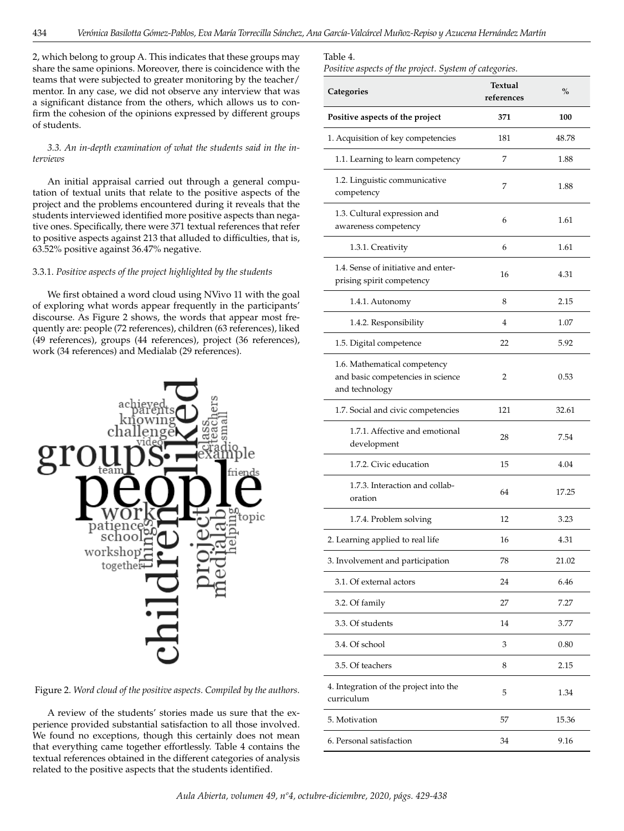2, which belong to group A. This indicates that these groups may share the same opinions. Moreover, there is coincidence with the teams that were subjected to greater monitoring by the teacher/ mentor. In any case, we did not observe any interview that was a significant distance from the others, which allows us to confirm the cohesion of the opinions expressed by different groups of students.

# *3.3. An in-depth examination of what the students said in the interviews*

An initial appraisal carried out through a general computation of textual units that relate to the positive aspects of the project and the problems encountered during it reveals that the students interviewed identified more positive aspects than negative ones. Specifically, there were 371 textual references that refer to positive aspects against 213 that alluded to difficulties, that is, 63.52% positive against 36.47% negative.

# 3.3.1. *Positive aspects of the project highlighted by the students*

We first obtained a word cloud using NVivo 11 with the goal of exploring what words appear frequently in the participants' discourse. As Figure 2 shows, the words that appear most frequently are: people (72 references), children (63 references), liked (49 references), groups (44 references), project (36 references), work (34 references) and Medialab (29 references).



Figure 2. *Word cloud of the positive aspects. Compiled by the authors.*

A review of the students' stories made us sure that the experience provided substantial satisfaction to all those involved. We found no exceptions, though this certainly does not mean that everything came together effortlessly. Table 4 contains the textual references obtained in the different categories of analysis related to the positive aspects that the students identified.

### Table 4.

| Positive aspects of the project. System of categories. |
|--------------------------------------------------------|
|--------------------------------------------------------|

| Categories                                                                          | <b>Textual</b><br>references | $\frac{0}{0}$ |
|-------------------------------------------------------------------------------------|------------------------------|---------------|
| Positive aspects of the project                                                     | 371                          | 100           |
| 1. Acquisition of key competencies                                                  | 181                          | 48.78         |
| 1.1. Learning to learn competency                                                   | 7                            | 1.88          |
| 1.2. Linguistic communicative<br>competency                                         | 7                            | 1.88          |
| 1.3. Cultural expression and<br>awareness competency                                | 6                            | 1.61          |
| 1.3.1. Creativity                                                                   | 6                            | 1.61          |
| 1.4. Sense of initiative and enter-<br>prising spirit competency                    | 16                           | 4.31          |
| 1.4.1. Autonomy                                                                     | 8                            | 2.15          |
| 1.4.2. Responsibility                                                               | 4                            | 1.07          |
| 1.5. Digital competence                                                             | 22                           | 5.92          |
| 1.6. Mathematical competency<br>and basic competencies in science<br>and technology | 2                            | 0.53          |
| 1.7. Social and civic competencies                                                  | 121                          | 32.61         |
| 1.7.1. Affective and emotional<br>development                                       | 28                           | 7.54          |
| 1.7.2. Civic education                                                              | 15                           | 4.04          |
| 1.7.3. Interaction and collab-<br>oration                                           | 64                           | 17.25         |
| 1.7.4. Problem solving                                                              | 12                           | 3.23          |
| 2. Learning applied to real life                                                    | 16                           | 4.31          |
| 3. Involvement and participation                                                    | 78                           | 21.02         |
| 3.1. Of external actors                                                             | 24                           | 6.46          |
| 3.2. Of family                                                                      | 27                           | 7.27          |
| 3.3. Of students                                                                    | 14                           | 3.77          |
| 3.4. Of school                                                                      | 3                            | 0.80          |
| 3.5. Of teachers                                                                    | 8                            | 2.15          |
| 4. Integration of the project into the<br>curriculum                                | 5                            | 1.34          |
| 5. Motivation                                                                       | 57                           | 15.36         |
| 6. Personal satisfaction                                                            | 34                           | 9.16          |

*Aula Abierta, volumen 49, nº4, octubre-diciembre, 2020, págs. 429-438*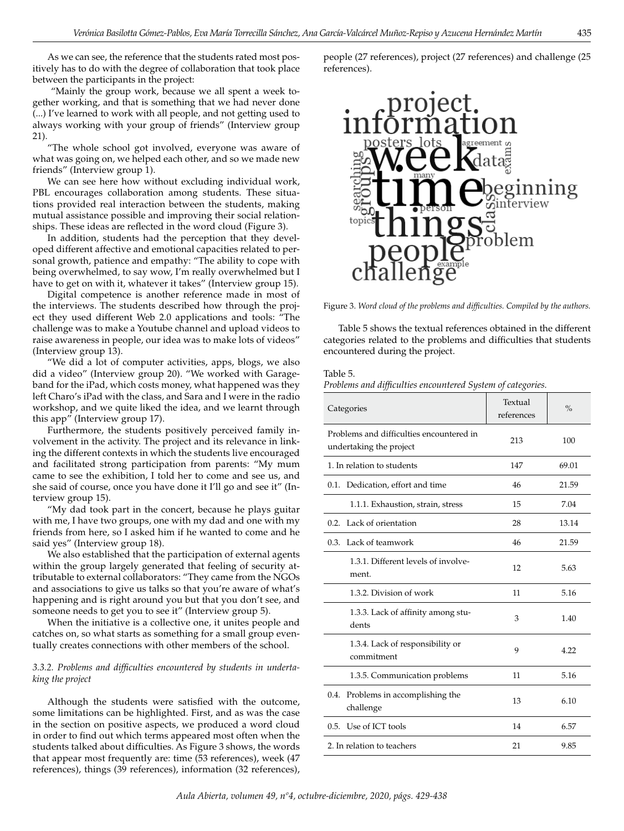As we can see, the reference that the students rated most positively has to do with the degree of collaboration that took place between the participants in the project:

 "Mainly the group work, because we all spent a week together working, and that is something that we had never done (...) I've learned to work with all people, and not getting used to always working with your group of friends" (Interview group 21).

"The whole school got involved, everyone was aware of what was going on, we helped each other, and so we made new friends" (Interview group 1).

We can see here how without excluding individual work, PBL encourages collaboration among students. These situations provided real interaction between the students, making mutual assistance possible and improving their social relationships. These ideas are reflected in the word cloud (Figure 3).

In addition, students had the perception that they developed different affective and emotional capacities related to personal growth, patience and empathy: "The ability to cope with being overwhelmed, to say wow, I'm really overwhelmed but I have to get on with it, whatever it takes" (Interview group 15).

Digital competence is another reference made in most of the interviews. The students described how through the project they used different Web 2.0 applications and tools: "The challenge was to make a Youtube channel and upload videos to raise awareness in people, our idea was to make lots of videos" (Interview group 13).

"We did a lot of computer activities, apps, blogs, we also did a video" (Interview group 20). "We worked with Garageband for the iPad, which costs money, what happened was they left Charo's iPad with the class, and Sara and I were in the radio workshop, and we quite liked the idea, and we learnt through this app" (Interview group 17).

Furthermore, the students positively perceived family involvement in the activity. The project and its relevance in linking the different contexts in which the students live encouraged and facilitated strong participation from parents: "My mum came to see the exhibition, I told her to come and see us, and she said of course, once you have done it I'll go and see it" (Interview group 15).

"My dad took part in the concert, because he plays guitar with me, I have two groups, one with my dad and one with my friends from here, so I asked him if he wanted to come and he said yes" (Interview group 18).

We also established that the participation of external agents within the group largely generated that feeling of security attributable to external collaborators: "They came from the NGOs and associations to give us talks so that you're aware of what's happening and is right around you but that you don't see, and someone needs to get you to see it" (Interview group 5).

When the initiative is a collective one, it unites people and catches on, so what starts as something for a small group eventually creates connections with other members of the school.

## *3.3.2. Problems and difficulties encountered by students in undertaking the project*

Although the students were satisfied with the outcome, some limitations can be highlighted. First, and as was the case in the section on positive aspects, we produced a word cloud in order to find out which terms appeared most often when the students talked about difficulties. As Figure 3 shows, the words that appear most frequently are: time (53 references), week (47 references), things (39 references), information (32 references),

people (27 references), project (27 references) and challenge (25 references).



Figure 3. *Word cloud of the problems and difficulties. Compiled by the authors.*

Table 5 shows the textual references obtained in the different categories related to the problems and difficulties that students encountered during the project.

#### Table 5.

*Problems and difficulties encountered System of categories.*

| Categories                                                          | Textual<br>references | $\frac{0}{0}$ |
|---------------------------------------------------------------------|-----------------------|---------------|
| Problems and difficulties encountered in<br>undertaking the project | 213                   | 100           |
| 1. In relation to students                                          | 147                   | 69.01         |
| Dedication, effort and time<br>0.1.                                 | 46                    | 21.59         |
| 1.1.1. Exhaustion, strain, stress                                   | 15                    | 7.04          |
| 0.2. Lack of orientation                                            | 28                    | 13.14         |
| Lack of teamwork<br>0.3.                                            | 46                    | 21.59         |
| 1.3.1. Different levels of involve-<br>ment.                        | 12                    | 5.63          |
| 1.3.2. Division of work                                             | 11                    | 5.16          |
| 1.3.3. Lack of affinity among stu-<br>dents                         | 3                     | 1.40          |
| 1.3.4. Lack of responsibility or<br>commitment                      | 9                     | 4.22          |
| 1.3.5. Communication problems                                       | 11                    | 5.16          |
| 0.4.<br>Problems in accomplishing the<br>challenge                  | 13                    | 6.10          |
| 0.5. Use of ICT tools                                               | 14                    | 6.57          |
| 2. In relation to teachers                                          | 21                    | 9.85          |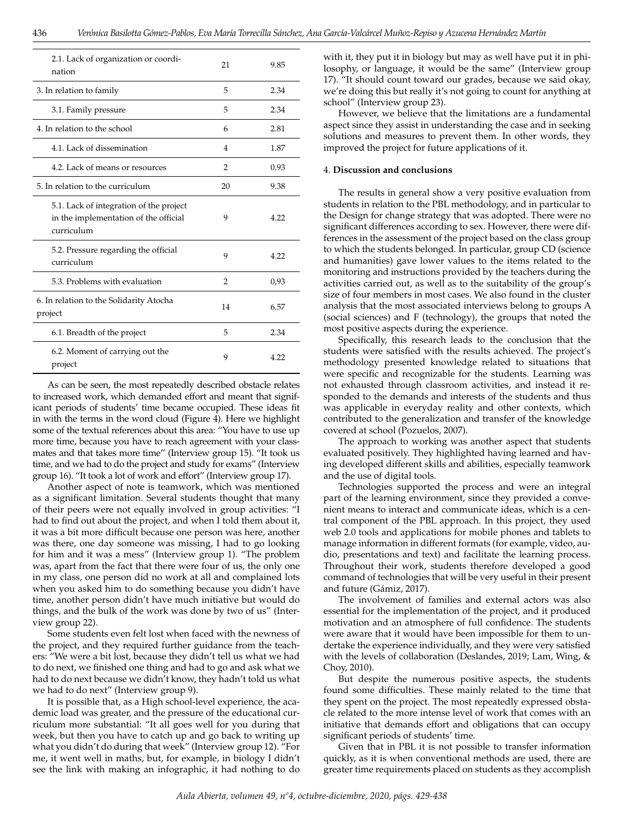| 2.1. Lack of organization or coordi-<br>nation                                                 | 21             | 9.85 |
|------------------------------------------------------------------------------------------------|----------------|------|
| 3. In relation to family                                                                       | 5              | 2.34 |
| 3.1. Family pressure                                                                           | 5              | 2.34 |
| 4. In relation to the school                                                                   | 6              | 2.81 |
| 4.1. Lack of dissemination                                                                     | 4              | 1.87 |
| 4.2. Lack of means or resources                                                                | 2              | 0.93 |
| 5. In relation to the curriculum                                                               | 20             | 9.38 |
| 5.1. Lack of integration of the project<br>in the implementation of the official<br>curriculum | 9              | 4.22 |
| 5.2. Pressure regarding the official<br>curriculum                                             | 9              | 4.22 |
| 5.3. Problems with evaluation                                                                  | $\overline{2}$ | 0,93 |
| 6. In relation to the Solidarity Atocha<br>project                                             | 14             | 6.57 |
| 6.1. Breadth of the project                                                                    | 5              | 2.34 |
| 6.2. Moment of carrying out the<br>project                                                     | 9              | 4.22 |

As can be seen, the most repeatedly described obstacle relates to increased work, which demanded effort and meant that significant periods of students' time became occupied. These ideas fit in with the terms in the word cloud (Figure 4). Here we highlight some of the textual references about this area: "You have to use up more time, because you have to reach agreement with your classmates and that takes more time" (Interview group 15). "It took us time, and we had to do the project and study for exams" (Interview group 16). "It took a lot of work and effort" (Interview group 17).

Another aspect of note is teamwork, which was mentioned as a significant limitation. Several students thought that many of their peers were not equally involved in group activities: "I had to find out about the project, and when I told them about it, it was a bit more difficult because one person was here, another was there, one day someone was missing, I had to go looking for him and it was a mess" (Interview group 1). "The problem was, apart from the fact that there were four of us, the only one in my class, one person did no work at all and complained lots when you asked him to do something because you didn't have time, another person didn't have much initiative but would do things, and the bulk of the work was done by two of us" (Interview group 22).

Some students even felt lost when faced with the newness of the project, and they required further guidance from the teachers: "We were a bit lost, because they didn't tell us what we had to do next, we finished one thing and had to go and ask what we had to do next because we didn't know, they hadn't told us what we had to do next" (Interview group 9).

It is possible that, as a High school-level experience, the academic load was greater, and the pressure of the educational curriculum more substantial: "It all goes well for you during that week, but then you have to catch up and go back to writing up what you didn't do during that week" (Interview group 12). "For me, it went well in maths, but, for example, in biology I didn't see the link with making an infographic, it had nothing to do

with it, they put it in biology but may as well have put it in philosophy, or language, it would be the same" (Interview group 17). "It should count toward our grades, because we said okay, we're doing this but really it's not going to count for anything at school" (Interview group 23).

However, we believe that the limitations are a fundamental aspect since they assist in understanding the case and in seeking solutions and measures to prevent them. In other words, they improved the project for future applications of it.

#### 4. **Discussion and conclusions**

The results in general show a very positive evaluation from students in relation to the PBL methodology, and in particular to the Design for change strategy that was adopted. There were no significant differences according to sex. However, there were differences in the assessment of the project based on the class group to which the students belonged. In particular, group CD (science and humanities) gave lower values to the items related to the monitoring and instructions provided by the teachers during the activities carried out, as well as to the suitability of the group's size of four members in most cases. We also found in the cluster analysis that the most associated interviews belong to groups A (social sciences) and F (technology), the groups that noted the most positive aspects during the experience.

Specifically, this research leads to the conclusion that the students were satisfied with the results achieved. The project's methodology presented knowledge related to situations that were specific and recognizable for the students. Learning was not exhausted through classroom activities, and instead it responded to the demands and interests of the students and thus was applicable in everyday reality and other contexts, which contributed to the generalization and transfer of the knowledge covered at school (Pozuelos, 2007).

The approach to working was another aspect that students evaluated positively. They highlighted having learned and having developed different skills and abilities, especially teamwork and the use of digital tools.

Technologies supported the process and were an integral part of the learning environment, since they provided a convenient means to interact and communicate ideas, which is a central component of the PBL approach. In this project, they used web 2.0 tools and applications for mobile phones and tablets to manage information in different formats (for example, video, audio, presentations and text) and facilitate the learning process. Throughout their work, students therefore developed a good command of technologies that will be very useful in their present and future (Gámiz, 2017).

The involvement of families and external actors was also essential for the implementation of the project, and it produced motivation and an atmosphere of full confidence. The students were aware that it would have been impossible for them to undertake the experience individually, and they were very satisfied with the levels of collaboration (Deslandes, 2019; Lam, Wing, & Choy, 2010).

But despite the numerous positive aspects, the students found some difficulties. These mainly related to the time that they spent on the project. The most repeatedly expressed obstacle related to the more intense level of work that comes with an initiative that demands effort and obligations that can occupy significant periods of students' time.

Given that in PBL it is not possible to transfer information quickly, as it is when conventional methods are used, there are greater time requirements placed on students as they accomplish